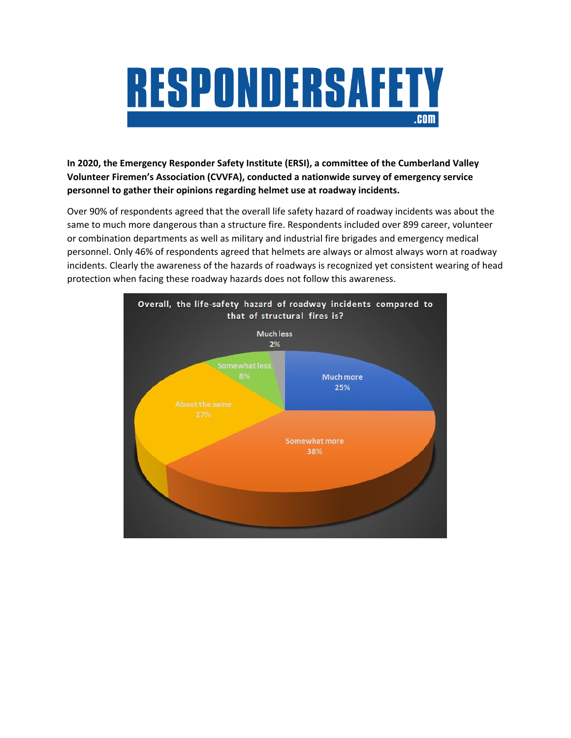

**In 2020, the Emergency Responder Safety Institute (ERSI), a committee of the Cumberland Valley Volunteer Firemen's Association (CVVFA), conducted a nationwide survey of emergency service personnel to gather their opinions regarding helmet use at roadway incidents.** 

Over 90% of respondents agreed that the overall life safety hazard of roadway incidents was about the same to much more dangerous than a structure fire. Respondents included over 899 career, volunteer or combination departments as well as military and industrial fire brigades and emergency medical personnel. Only 46% of respondents agreed that helmets are always or almost always worn at roadway incidents. Clearly the awareness of the hazards of roadways is recognized yet consistent wearing of head protection when facing these roadway hazards does not follow this awareness.

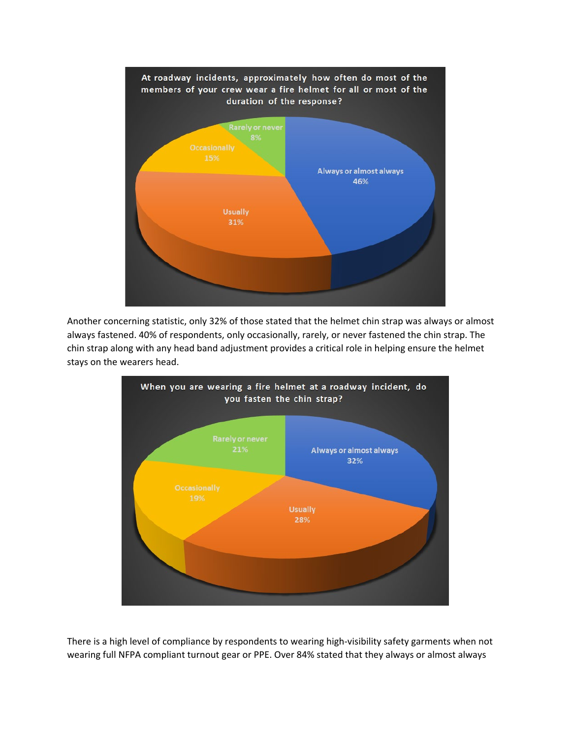

Another concerning statistic, only 32% of those stated that the helmet chin strap was always or almost always fastened. 40% of respondents, only occasionally, rarely, or never fastened the chin strap. The chin strap along with any head band adjustment provides a critical role in helping ensure the helmet stays on the wearers head.



There is a high level of compliance by respondents to wearing high-visibility safety garments when not wearing full NFPA compliant turnout gear or PPE. Over 84% stated that they always or almost always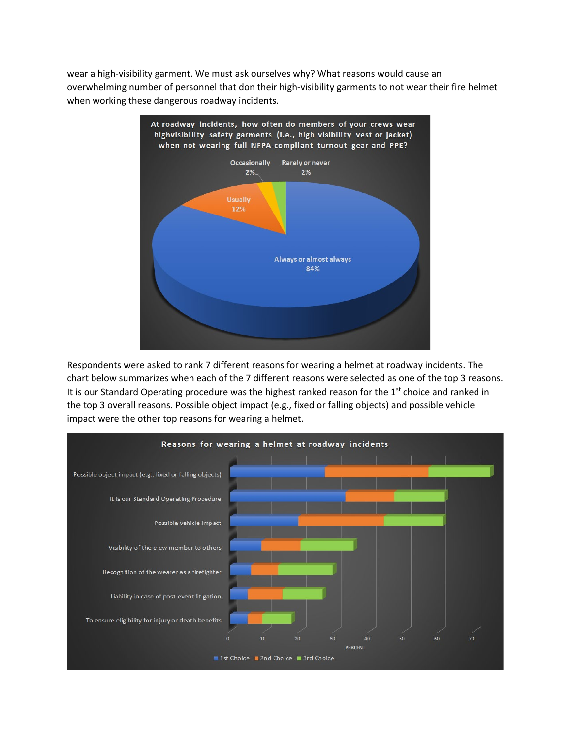wear a high-visibility garment. We must ask ourselves why? What reasons would cause an overwhelming number of personnel that don their high-visibility garments to not wear their fire helmet when working these dangerous roadway incidents.



Respondents were asked to rank 7 different reasons for wearing a helmet at roadway incidents. The chart below summarizes when each of the 7 different reasons were selected as one of the top 3 reasons. It is our Standard Operating procedure was the highest ranked reason for the  $1<sup>st</sup>$  choice and ranked in the top 3 overall reasons. Possible object impact (e.g., fixed or falling objects) and possible vehicle impact were the other top reasons for wearing a helmet.

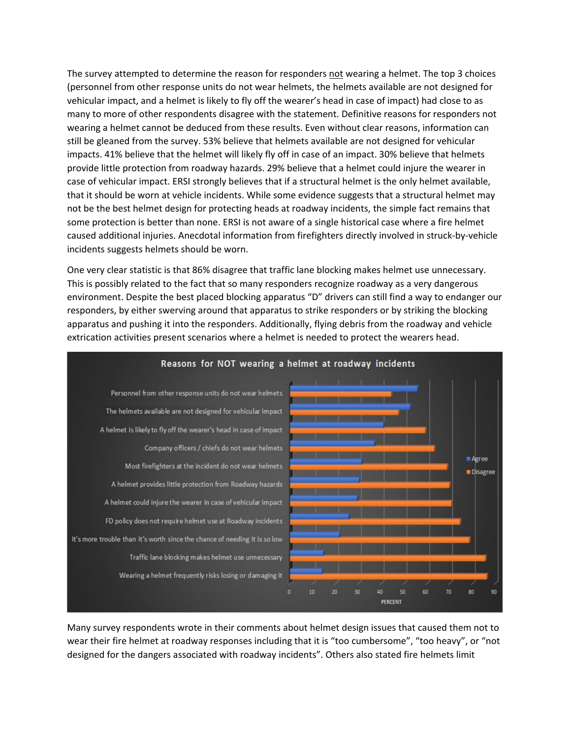The survey attempted to determine the reason for responders not wearing a helmet. The top 3 choices (personnel from other response units do not wear helmets, the helmets available are not designed for vehicular impact, and a helmet is likely to fly off the wearer's head in case of impact) had close to as many to more of other respondents disagree with the statement. Definitive reasons for responders not wearing a helmet cannot be deduced from these results. Even without clear reasons, information can still be gleaned from the survey. 53% believe that helmets available are not designed for vehicular impacts. 41% believe that the helmet will likely fly off in case of an impact. 30% believe that helmets provide little protection from roadway hazards. 29% believe that a helmet could injure the wearer in case of vehicular impact. ERSI strongly believes that if a structural helmet is the only helmet available, that it should be worn at vehicle incidents. While some evidence suggests that a structural helmet may not be the best helmet design for protecting heads at roadway incidents, the simple fact remains that some protection is better than none. ERSI is not aware of a single historical case where a fire helmet caused additional injuries. Anecdotal information from firefighters directly involved in struck-by-vehicle incidents suggests helmets should be worn.

One very clear statistic is that 86% disagree that traffic lane blocking makes helmet use unnecessary. This is possibly related to the fact that so many responders recognize roadway as a very dangerous environment. Despite the best placed blocking apparatus "D" drivers can still find a way to endanger our responders, by either swerving around that apparatus to strike responders or by striking the blocking apparatus and pushing it into the responders. Additionally, flying debris from the roadway and vehicle extrication activities present scenarios where a helmet is needed to protect the wearers head.



Many survey respondents wrote in their comments about helmet design issues that caused them not to wear their fire helmet at roadway responses including that it is "too cumbersome", "too heavy", or "not designed for the dangers associated with roadway incidents". Others also stated fire helmets limit